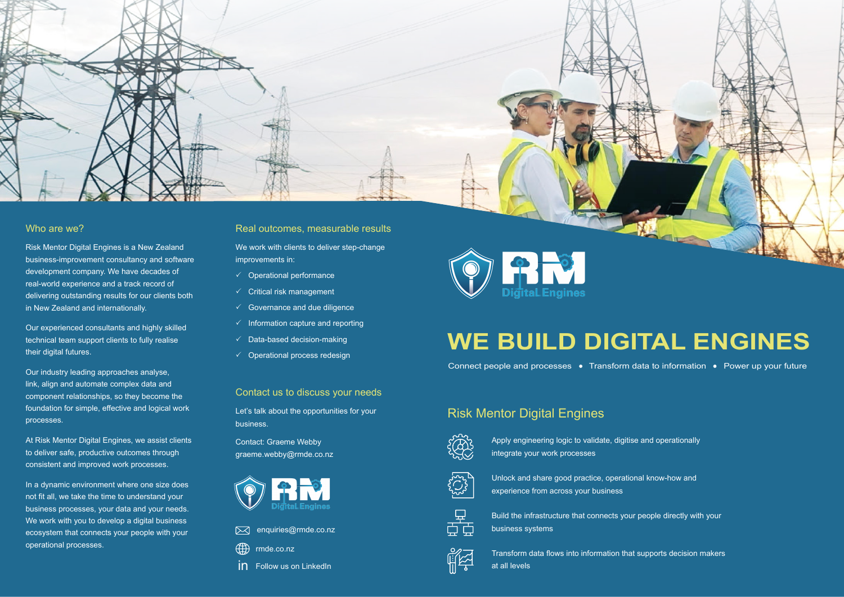development company. We have decades of real-world experience and a track record of delivering outstanding results for our clients both in New Zealand and internationally.

Our experienced consultants and highly skilled technical team support clients to fully realise their digital futures.

Our industry leading approaches analyse, link, align and automate complex data and component relationships, so they become the foundation for simple, effective and logical work processes.



At Risk Mentor Digital Engines, we assist clients to deliver safe, productive outcomes through consistent and improved work processes.

In a dynamic environment where one size does not fit all, we take the time to understand your business processes, your data and your needs. We work with you to develop a digital business ecosystem that connects your people with your operational processes.

- $\checkmark$  Operational performance
- $\checkmark$  Critical risk management
- $\checkmark$  Governance and due diligence
- $\checkmark$  Information capture and reporting
- $\checkmark$  Data-based decision-making
- $\checkmark$  Operational process redesign

### Contact us to discuss your needs

Let's talk about the opportunities for your business.

Contact: Graeme Webby graeme.webby@rmde.co.nz



 $\boxtimes$  enquiries@rmde.co.nz

Apply engineering logic to validate, digitise and operationally integrate your work processes



Unlock and share good practice, operational know-how and experience from across your business



Build the infrastructure that connects your people directly with your business systems



Transform data flows into information that supports decision makers at all levels

## Risk Mentor Digital Engines





**in** Follow us on LinkedIn



## **WE BUILD DIGITAL ENGINES** Connect people and processes  $\bullet$  Transform data to information  $\bullet$  Power up your future